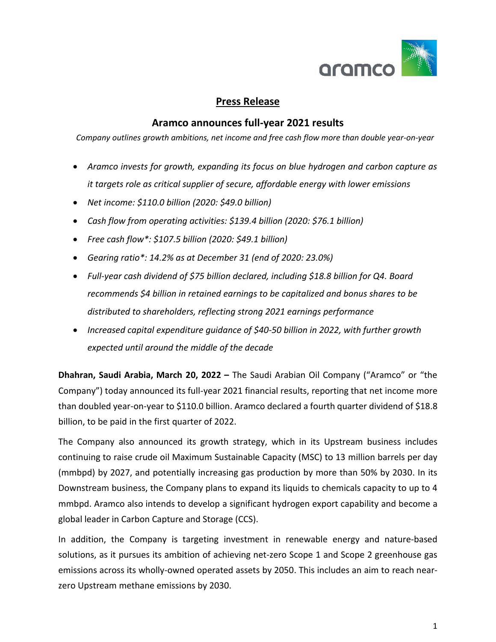

# **Press Release**

## **Aramco announces full-year 2021 results**

*Company outlines growth ambitions, net income and free cash flow more than double year-on-year*

- *Aramco invests for growth, expanding its focus on blue hydrogen and carbon capture as it targets role as critical supplier of secure, affordable energy with lower emissions*
- *Net income: \$110.0 billion (2020: \$49.0 billion)*
- *Cash flow from operating activities: \$139.4 billion (2020: \$76.1 billion)*
- *Free cash flow\*: \$107.5 billion (2020: \$49.1 billion)*
- *Gearing ratio\*: 14.2% as at December 31 (end of 2020: 23.0%)*
- *Full-year cash dividend of \$75 billion declared, including \$18.8 billion for Q4. Board recommends \$4 billion in retained earnings to be capitalized and bonus shares to be distributed to shareholders, reflecting strong 2021 earnings performance*
- *Increased capital expenditure guidance of \$40-50 billion in 2022, with further growth expected until around the middle of the decade*

**Dhahran, Saudi Arabia, March 20, 2022 –** The Saudi Arabian Oil Company ("Aramco" or "the Company") today announced its full-year 2021 financial results, reporting that net income more than doubled year-on-year to \$110.0 billion. Aramco declared a fourth quarter dividend of \$18.8 billion, to be paid in the first quarter of 2022.

The Company also announced its growth strategy, which in its Upstream business includes continuing to raise crude oil Maximum Sustainable Capacity (MSC) to 13 million barrels per day (mmbpd) by 2027, and potentially increasing gas production by more than 50% by 2030. In its Downstream business, the Company plans to expand its liquids to chemicals capacity to up to 4 mmbpd. Aramco also intends to develop a significant hydrogen export capability and become a global leader in Carbon Capture and Storage (CCS).

In addition, the Company is targeting investment in renewable energy and nature-based solutions, as it pursues its ambition of achieving net-zero Scope 1 and Scope 2 greenhouse gas emissions across its wholly-owned operated assets by 2050. This includes an aim to reach nearzero Upstream methane emissions by 2030.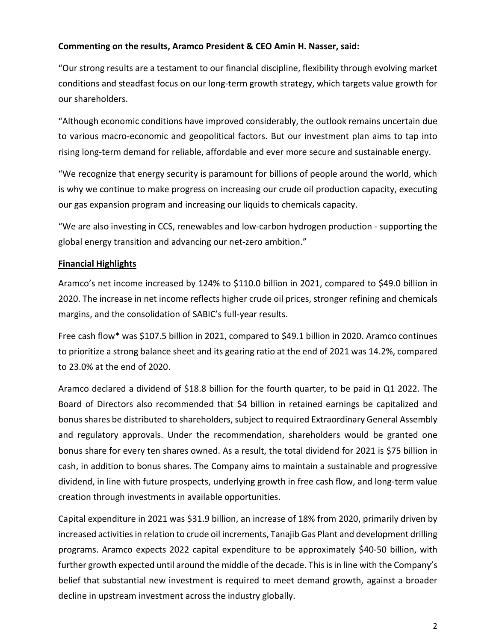#### **Commenting on the results, Aramco President & CEO Amin H. Nasser, said:**

"Our strong results are a testament to our financial discipline, flexibility through evolving market conditions and steadfast focus on our long-term growth strategy, which targets value growth for our shareholders.

"Although economic conditions have improved considerably, the outlook remains uncertain due to various macro-economic and geopolitical factors. But our investment plan aims to tap into rising long-term demand for reliable, affordable and ever more secure and sustainable energy.

"We recognize that energy security is paramount for billions of people around the world, which is why we continue to make progress on increasing our crude oil production capacity, executing our gas expansion program and increasing our liquids to chemicals capacity.

"We are also investing in CCS, renewables and low-carbon hydrogen production - supporting the global energy transition and advancing our net-zero ambition."

## **Financial Highlights**

Aramco's net income increased by 124% to \$110.0 billion in 2021, compared to \$49.0 billion in 2020. The increase in net income reflects higher crude oil prices, stronger refining and chemicals margins, and the consolidation of SABIC's full-year results.

Free cash flow\* was \$107.5 billion in 2021, compared to \$49.1 billion in 2020. Aramco continues to prioritize a strong balance sheet and its gearing ratio at the end of 2021 was 14.2%, compared to 23.0% at the end of 2020.

Aramco declared a dividend of \$18.8 billion for the fourth quarter, to be paid in Q1 2022. The Board of Directors also recommended that \$4 billion in retained earnings be capitalized and bonus shares be distributed to shareholders, subject to required Extraordinary General Assembly and regulatory approvals. Under the recommendation, shareholders would be granted one bonus share for every ten shares owned. As a result, the total dividend for 2021 is \$75 billion in cash, in addition to bonus shares. The Company aims to maintain a sustainable and progressive dividend, in line with future prospects, underlying growth in free cash flow, and long-term value creation through investments in available opportunities.

Capital expenditure in 2021 was \$31.9 billion, an increase of 18% from 2020, primarily driven by increased activities in relation to crude oil increments, Tanajib Gas Plant and development drilling programs. Aramco expects 2022 capital expenditure to be approximately \$40-50 billion, with further growth expected until around the middle of the decade. This is in line with the Company's belief that substantial new investment is required to meet demand growth, against a broader decline in upstream investment across the industry globally.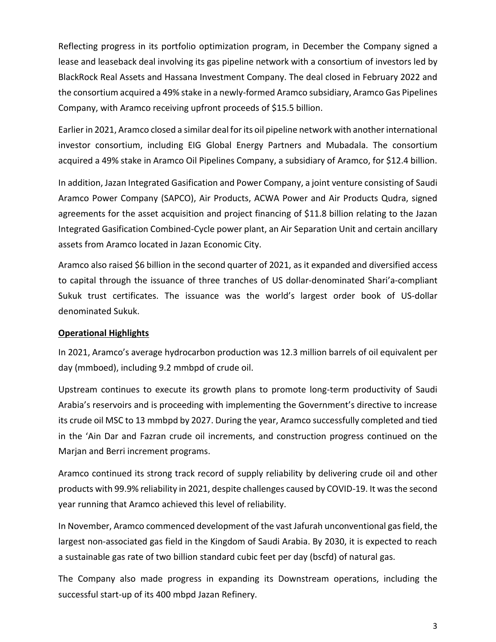Reflecting progress in its portfolio optimization program, in December the Company signed a lease and leaseback deal involving its gas pipeline network with a consortium of investors led by BlackRock Real Assets and Hassana Investment Company. The deal closed in February 2022 and the consortium acquired a 49% stake in a newly-formed Aramco subsidiary, Aramco Gas Pipelines Company, with Aramco receiving upfront proceeds of \$15.5 billion.

Earlier in 2021, Aramco closed a similar deal for its oil pipeline network with another international investor consortium, including EIG Global Energy Partners and Mubadala. The consortium acquired a 49% stake in Aramco Oil Pipelines Company, a subsidiary of Aramco, for \$12.4 billion.

In addition, Jazan Integrated Gasification and Power Company, a joint venture consisting of Saudi Aramco Power Company (SAPCO), Air Products, ACWA Power and Air Products Qudra, signed agreements for the asset acquisition and project financing of \$11.8 billion relating to the Jazan Integrated Gasification Combined-Cycle power plant, an Air Separation Unit and certain ancillary assets from Aramco located in Jazan Economic City.

Aramco also raised \$6 billion in the second quarter of 2021, as it expanded and diversified access to capital through the issuance of three tranches of US dollar-denominated Shari'a-compliant Sukuk trust certificates. The issuance was the world's largest order book of US-dollar denominated Sukuk.

## **Operational Highlights**

In 2021, Aramco's average hydrocarbon production was 12.3 million barrels of oil equivalent per day (mmboed), including 9.2 mmbpd of crude oil.

Upstream continues to execute its growth plans to promote long-term productivity of Saudi Arabia's reservoirs and is proceeding with implementing the Government's directive to increase its crude oil MSC to 13 mmbpd by 2027. During the year, Aramco successfully completed and tied in the 'Ain Dar and Fazran crude oil increments, and construction progress continued on the Marjan and Berri increment programs.

Aramco continued its strong track record of supply reliability by delivering crude oil and other products with 99.9% reliability in 2021, despite challenges caused by COVID-19. It was the second year running that Aramco achieved this level of reliability.

In November, Aramco commenced development of the vast Jafurah unconventional gas field, the largest non-associated gas field in the Kingdom of Saudi Arabia. By 2030, it is expected to reach a sustainable gas rate of two billion standard cubic feet per day (bscfd) of natural gas.

The Company also made progress in expanding its Downstream operations, including the successful start-up of its 400 mbpd Jazan Refinery.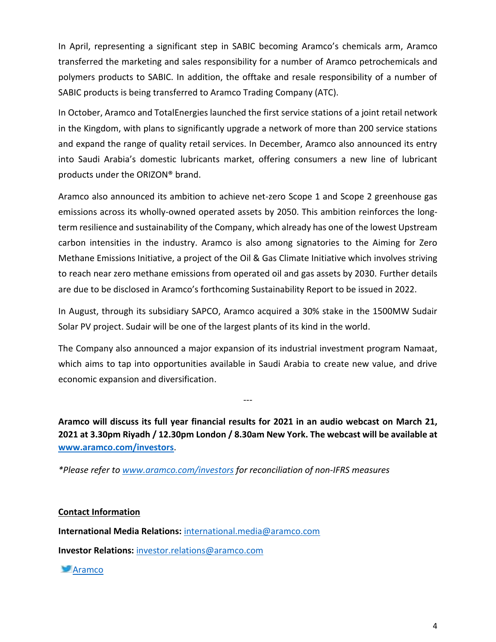In April, representing a significant step in SABIC becoming Aramco's chemicals arm, Aramco transferred the marketing and sales responsibility for a number of Aramco petrochemicals and polymers products to SABIC. In addition, the offtake and resale responsibility of a number of SABIC products is being transferred to Aramco Trading Company (ATC).

In October, Aramco and TotalEnergies launched the first service stations of a joint retail network in the Kingdom, with plans to significantly upgrade a network of more than 200 service stations and expand the range of quality retail services. In December, Aramco also announced its entry into Saudi Arabia's domestic lubricants market, offering consumers a new line of lubricant products under the ORIZON® brand.

Aramco also announced its ambition to achieve net-zero Scope 1 and Scope 2 greenhouse gas emissions across its wholly-owned operated assets by 2050. This ambition reinforces the longterm resilience and sustainability of the Company, which already has one of the lowest Upstream carbon intensities in the industry. Aramco is also among signatories to the Aiming for Zero Methane Emissions Initiative, a project of the Oil & Gas Climate Initiative which involves striving to reach near zero methane emissions from operated oil and gas assets by 2030. Further details are due to be disclosed in Aramco's forthcoming Sustainability Report to be issued in 2022.

In August, through its subsidiary SAPCO, Aramco acquired a 30% stake in the 1500MW Sudair Solar PV project. Sudair will be one of the largest plants of its kind in the world.

The Company also announced a major expansion of its industrial investment program Namaat, which aims to tap into opportunities available in Saudi Arabia to create new value, and drive economic expansion and diversification.

---

**Aramco will discuss its full year financial results for 2021 in an audio webcast on March 21, 2021 at 3.30pm Riyadh / 12.30pm London / 8.30am New York. The webcast will be available at [www.aramco.com/investors](http://www.aramco.com/investors)**.

*\*Please refer to [www.aramco.com/investors](http://www.aramco.com/investors) for reconciliation of non-IFRS measures*

## **Contact Information**

**International Media Relations:** [international.media@aramco.com](mailto:international.media@aramco.com)

**Investor Relations:** [investor.relations@aramco.com](mailto:investor.relations@aramco.com)

**[Aramco](https://twitter.com/Aramco)**